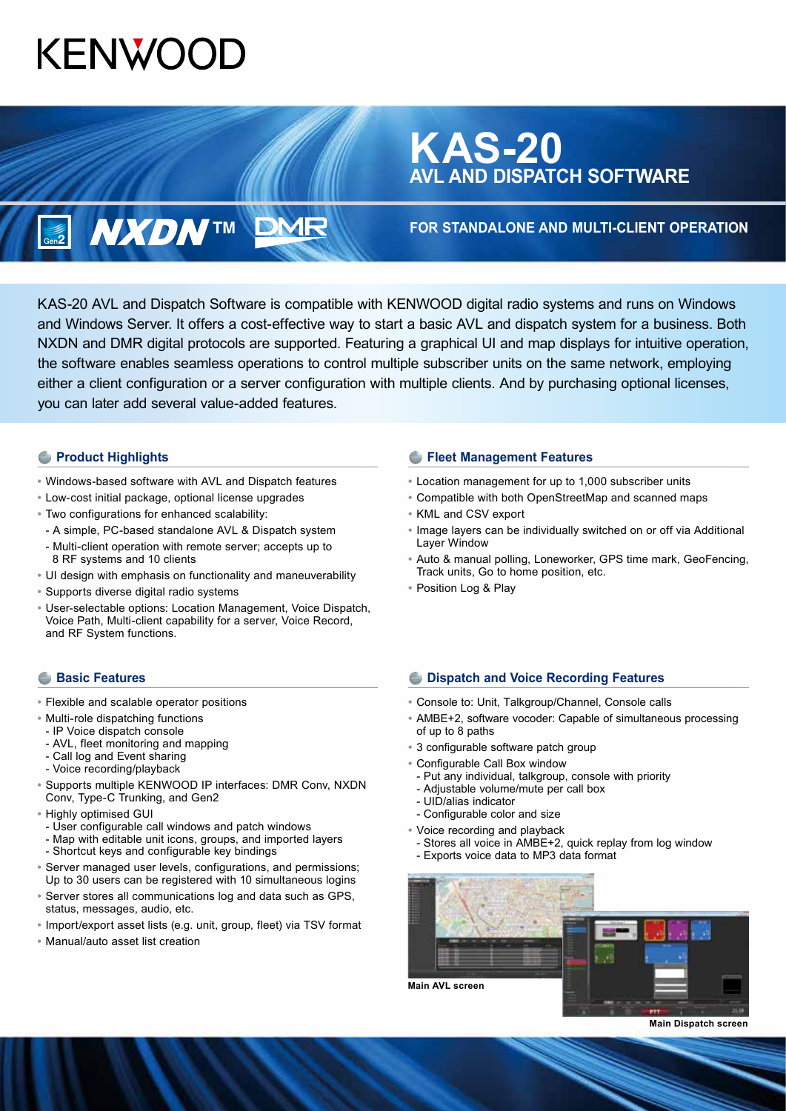# **KENWOO**

# **KAS-20 AVL AND DISPATCH SOFTWARE**

## **MXDNTM DMR**

**FOR STANDALONE AND MULTI-CLIENT OPERATION**

KAS-20 AVL and Dispatch Software is compatible with KENWOOD digital radio systems and runs on Windows and Windows Server. It offers a cost-effective way to start a basic AVL and dispatch system for a business. Both NXDN and DMR digital protocols are supported. Featuring a graphical UI and map displays for intuitive operation, the software enables seamless operations to control multiple subscriber units on the same network, employing either a client configuration or a server configuration with multiple clients. And by purchasing optional licenses, you can later add several value-added features.

#### **Product Highlights**

- **•** Windows-based software with AVL and Dispatch features
- **•** Low-cost initial package, optional license upgrades
- **•** Two configurations for enhanced scalability:
- A simple, PC-based standalone AVL & Dispatch system
- Multi-client operation with remote server; accepts up to
- 8 RF systems and 10 clients
- **•** UI design with emphasis on functionality and maneuverability
- **•** Supports diverse digital radio systems
- **•** User-selectable options: Location Management, Voice Dispatch, Voice Path, Multi-client capability for a server, Voice Record, and RF System functions.

#### **Basic Features**

- **•** Flexible and scalable operator positions
- **•** Multi-role dispatching functions
- IP Voice dispatch console
- AVL, fleet monitoring and mapping
- Call log and Event sharing
- Voice recording/playback
- **•** Supports multiple KENWOOD IP interfaces: DMR Conv, NXDN Conv, Type-C Trunking, and Gen2
- **•** Highly optimised GUI
- User configurable call windows and patch windows
- Map with editable unit icons, groups, and imported layers
- Shortcut keys and configurable key bindings
- **•** Server managed user levels, configurations, and permissions; Up to 30 users can be registered with 10 simultaneous logins
- **•** Server stores all communications log and data such as GPS, status, messages, audio, etc.
- **•** Import/export asset lists (e.g. unit, group, fleet) via TSV format
- **•** Manual/auto asset list creation

#### *<b>E* Fleet Management Features

- **•** Location management for up to 1,000 subscriber units
- **•** Compatible with both OpenStreetMap and scanned maps
- **•** KML and CSV export
- **•** Image layers can be individually switched on or off via Additional Layer Window
- **•** Auto & manual polling, Loneworker, GPS time mark, GeoFencing, Track units, Go to home position, etc.
- **•** Position Log & Play

#### **C** Dispatch and Voice Recording Features

- **•** Console to: Unit, Talkgroup/Channel, Console calls
- **•** AMBE+2, software vocoder: Capable of simultaneous processing of up to 8 paths
- **•** 3 configurable software patch group
- **•** Configurable Call Box window
	- Put any individual, talkgroup, console with priority
	- Adjustable volume/mute per call box
- UID/alias indicator
- Configurable color and size
- **•** Voice recording and playback
- Stores all voice in AMBE+2, quick replay from log window - Exports voice data to MP3 data format



**Main Dispatch screen**